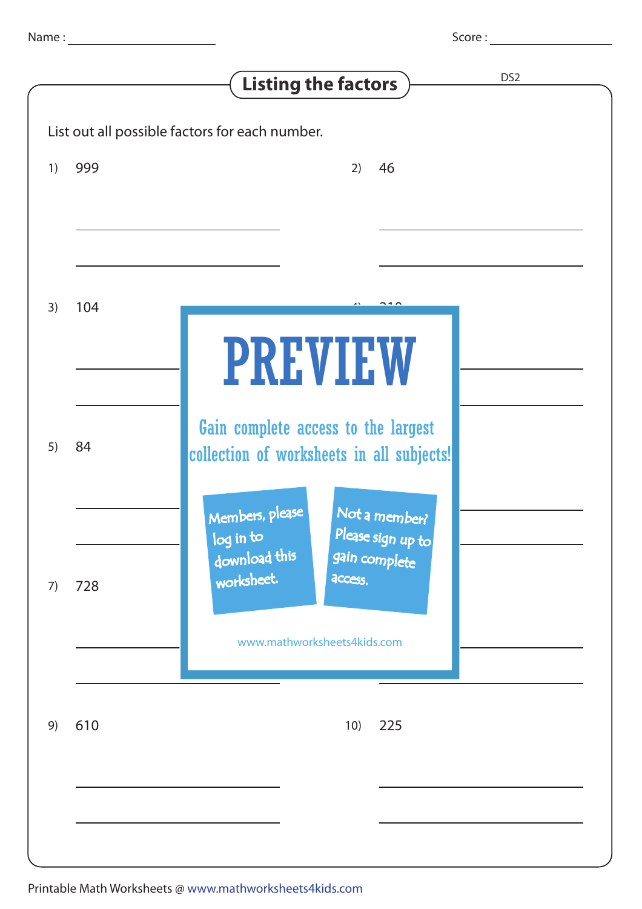Score :

| DS <sub>2</sub><br><b>Listing the factors</b>  |     |                                                                                                                                                              |
|------------------------------------------------|-----|--------------------------------------------------------------------------------------------------------------------------------------------------------------|
| List out all possible factors for each number. |     |                                                                                                                                                              |
| 1)                                             | 999 | 46<br>2)                                                                                                                                                     |
| 3)                                             | 104 | <b>PREVIEW</b>                                                                                                                                               |
| 5)                                             | 84  | Gain complete access to the largest<br>collection of worksheets in all subjects!                                                                             |
| 7)                                             | 728 | Not a member?<br>Members, please<br>Please sign up to<br>log in to<br>download this<br>gain complete<br>worksheet.<br>access.<br>www.mathworksheets4kids.com |
| 9)                                             | 610 | 225<br>10)                                                                                                                                                   |
|                                                |     |                                                                                                                                                              |